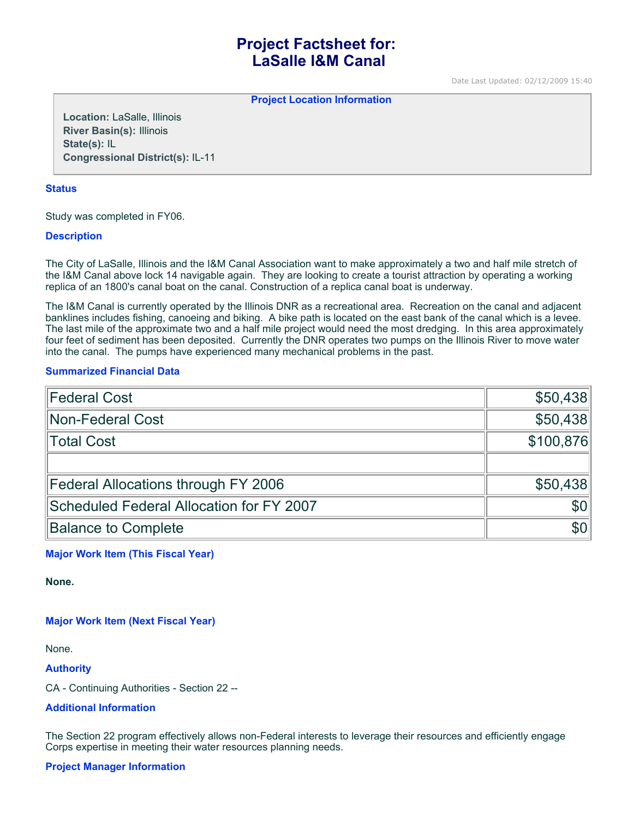# **Project Factsheet for: LaSalle I&M Canal**

Date Last Updated: 02/12/2009 15:40

**Project Location Information** 

**Location:** LaSalle, Illinois **River Basin(s):** Illinois **State(s):** IL **Congressional District(s):** IL-11

#### **Status**

Study was completed in FY06.

## **Description**

The City of LaSalle, Illinois and the I&M Canal Association want to make approximately a two and half mile stretch of the I&M Canal above lock 14 navigable again. They are looking to create a tourist attraction by operating a working replica of an 1800's canal boat on the canal. Construction of a replica canal boat is underway.

The I&M Canal is currently operated by the Illinois DNR as a recreational area. Recreation on the canal and adjacent banklines includes fishing, canoeing and biking. A bike path is located on the east bank of the canal which is a levee. The last mile of the approximate two and a half mile project would need the most dredging. In this area approximately four feet of sediment has been deposited. Currently the DNR operates two pumps on the Illinois River to move water into the canal. The pumps have experienced many mechanical problems in the past.

## **Summarized Financial Data**

| Federal Cost                             | \$50,438         |
|------------------------------------------|------------------|
| Non-Federal Cost                         | \$50,438         |
| Total Cost                               | \$100,876        |
|                                          |                  |
| Federal Allocations through FY 2006      | \$50,438         |
| Scheduled Federal Allocation for FY 2007 | \$0 <sub>1</sub> |
| <b>Balance to Complete</b>               | \$0 <sub>1</sub> |

**Major Work Item (This Fiscal Year)**

**None.**

# **Major Work Item (Next Fiscal Year)**

None.

**Authority**

CA - Continuing Authorities - Section 22 --

# **Additional Information**

The Section 22 program effectively allows non-Federal interests to leverage their resources and efficiently engage Corps expertise in meeting their water resources planning needs.

#### **Project Manager Information**